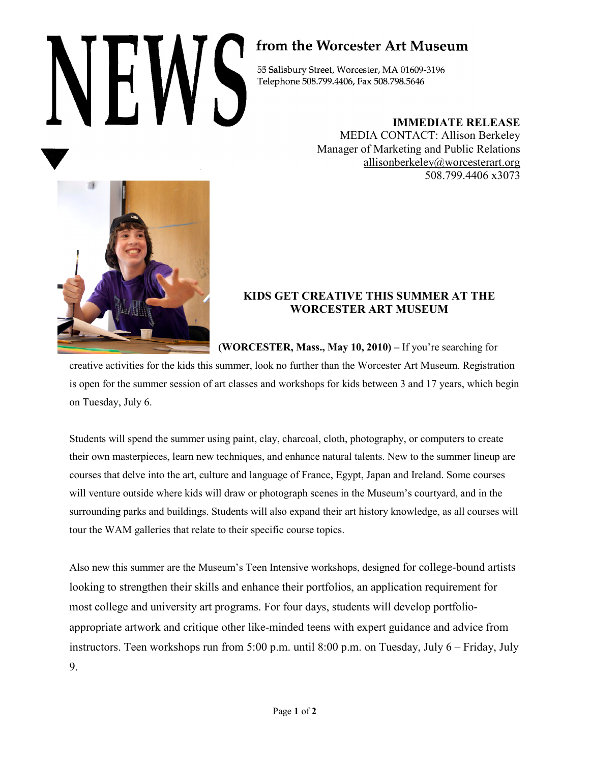## from the Worcester Art Museum

55 Salisbury Street, Worcester, MA 01609-3196 Telephone 508.799.4406, Fax 508.798.5646

**IMMEDIATE RELEASE**

MEDIA CONTACT: Allison Berkeley Manager of Marketing and Public Relations allisonberkeley@worcesterart.org 508.799.4406 x3073



## **KIDS GET CREATIVE THIS SUMMER AT THE WORCESTER ART MUSEUM**

**(WORCESTER, Mass., May 10, 2010) –** If you're searching for

creative activities for the kids this summer, look no further than the Worcester Art Museum. Registration is open for the summer session of art classes and workshops for kids between 3 and 17 years, which begin on Tuesday, July 6.

Students will spend the summer using paint, clay, charcoal, cloth, photography, or computers to create their own masterpieces, learn new techniques, and enhance natural talents. New to the summer lineup are courses that delve into the art, culture and language of France, Egypt, Japan and Ireland. Some courses will venture outside where kids will draw or photograph scenes in the Museum's courtyard, and in the surrounding parks and buildings. Students will also expand their art history knowledge, as all courses will tour the WAM galleries that relate to their specific course topics.

Also new this summer are the Museum's Teen Intensive workshops, designed for college-bound artists looking to strengthen their skills and enhance their portfolios, an application requirement for most college and university art programs. For four days, students will develop portfolioappropriate artwork and critique other like-minded teens with expert guidance and advice from instructors. Teen workshops run from 5:00 p.m. until 8:00 p.m. on Tuesday, July 6 – Friday, July 9.